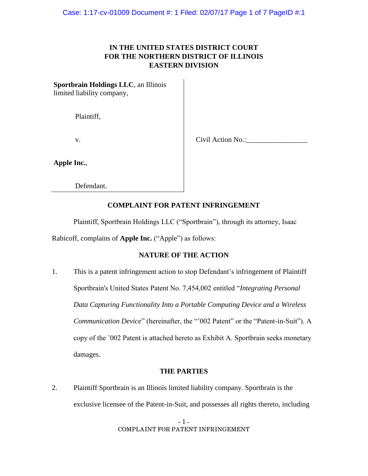# **IN THE UNITED STATES DISTRICT COURT FOR THE NORTHERN DISTRICT OF ILLINOIS EASTERN DIVISION**

**Sportbrain Holdings LLC**, an Illinois limited liability company,

Plaintiff,

v. Civil Action No.:

**Apple Inc.**,

Defendant.

# **COMPLAINT FOR PATENT INFRINGEMENT**

Plaintiff, Sportbrain Holdings LLC ("Sportbrain"), through its attorney, Isaac

Rabicoff, complains of **Apple Inc.** ("Apple") as follows:

# **NATURE OF THE ACTION**

1. This is a patent infringement action to stop Defendant's infringement of Plaintiff Sportbrain's United States Patent No. 7,454,002 entitled "*Integrating Personal Data Capturing Functionality Into a Portable Computing Device and a Wireless Communication Device*" (hereinafter, the "'002 Patent" or the "Patent-in-Suit"). A copy of the '002 Patent is attached hereto as Exhibit A. Sportbrain seeks monetary damages.

## **THE PARTIES**

2. Plaintiff Sportbrain is an Illinois limited liability company. Sportbrain is the exclusive licensee of the Patent-in-Suit, and possesses all rights thereto, including

> – 1 – COMPLAINT FOR PATENT INFRINGEMENT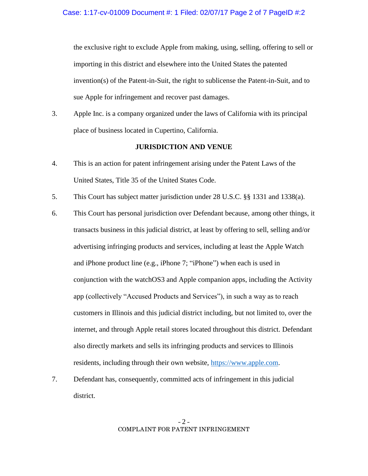the exclusive right to exclude Apple from making, using, selling, offering to sell or importing in this district and elsewhere into the United States the patented invention(s) of the Patent-in-Suit, the right to sublicense the Patent-in-Suit, and to sue Apple for infringement and recover past damages.

3. Apple Inc. is a company organized under the laws of California with its principal place of business located in Cupertino, California.

#### **JURISDICTION AND VENUE**

- 4. This is an action for patent infringement arising under the Patent Laws of the United States, Title 35 of the United States Code.
- 5. This Court has subject matter jurisdiction under 28 U.S.C. §§ 1331 and 1338(a).
- 6. This Court has personal jurisdiction over Defendant because, among other things, it transacts business in this judicial district, at least by offering to sell, selling and/or advertising infringing products and services, including at least the Apple Watch and iPhone product line (e.g., iPhone 7; "iPhone") when each is used in conjunction with the watchOS3 and Apple companion apps, including the Activity app (collectively "Accused Products and Services"), in such a way as to reach customers in Illinois and this judicial district including, but not limited to, over the internet, and through Apple retail stores located throughout this district. Defendant also directly markets and sells its infringing products and services to Illinois residents, including through their own website, [https://www.apple.com.](https://www.apple.com/)
- 7. Defendant has, consequently, committed acts of infringement in this judicial district.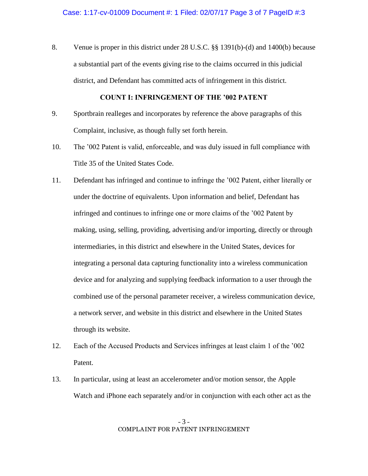8. Venue is proper in this district under 28 U.S.C. §§ 1391(b)-(d) and 1400(b) because a substantial part of the events giving rise to the claims occurred in this judicial district, and Defendant has committed acts of infringement in this district.

#### **COUNT I: INFRINGEMENT OF THE '002 PATENT**

- 9. Sportbrain realleges and incorporates by reference the above paragraphs of this Complaint, inclusive, as though fully set forth herein.
- 10. The '002 Patent is valid, enforceable, and was duly issued in full compliance with Title 35 of the United States Code.
- 11. Defendant has infringed and continue to infringe the '002 Patent, either literally or under the doctrine of equivalents. Upon information and belief, Defendant has infringed and continues to infringe one or more claims of the '002 Patent by making, using, selling, providing, advertising and/or importing, directly or through intermediaries, in this district and elsewhere in the United States, devices for integrating a personal data capturing functionality into a wireless communication device and for analyzing and supplying feedback information to a user through the combined use of the personal parameter receiver, a wireless communication device, a network server, and website in this district and elsewhere in the United States through its website.
- 12. Each of the Accused Products and Services infringes at least claim 1 of the '002 Patent.
- 13. In particular, using at least an accelerometer and/or motion sensor, the Apple Watch and iPhone each separately and/or in conjunction with each other act as the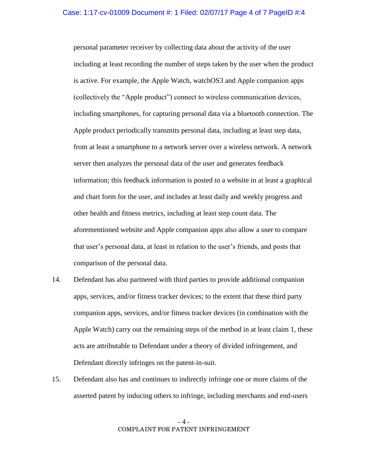personal parameter receiver by collecting data about the activity of the user including at least recording the number of steps taken by the user when the product is active. For example, the Apple Watch, watchOS3 and Apple companion apps (collectively the "Apple product") connect to wireless communication devices, including smartphones, for capturing personal data via a bluetooth connection. The Apple product periodically transmits personal data, including at least step data, from at least a smartphone to a network server over a wireless network. A network server then analyzes the personal data of the user and generates feedback information; this feedback information is posted to a website in at least a graphical and chart form for the user, and includes at least daily and weekly progress and other health and fitness metrics, including at least step count data. The aforementioned website and Apple companion apps also allow a user to compare that user's personal data, at least in relation to the user's friends, and posts that comparison of the personal data.

- 14. Defendant has also partnered with third parties to provide additional companion apps, services, and/or fitness tracker devices; to the extent that these third party companion apps, services, and/or fitness tracker devices (in combination with the Apple Watch) carry out the remaining steps of the method in at least claim 1, these acts are attributable to Defendant under a theory of divided infringement, and Defendant directly infringes on the patent-in-suit.
- 15. Defendant also has and continues to indirectly infringe one or more claims of the asserted patent by inducing others to infringe, including merchants and end-users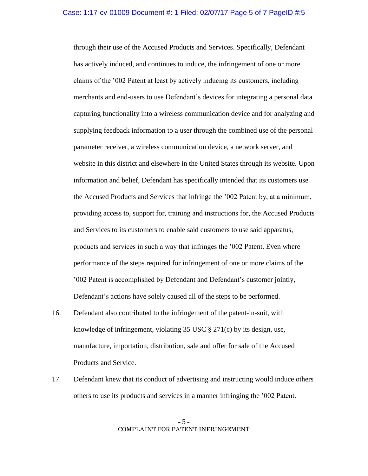through their use of the Accused Products and Services. Specifically, Defendant has actively induced, and continues to induce, the infringement of one or more claims of the '002 Patent at least by actively inducing its customers, including merchants and end-users to use Defendant's devices for integrating a personal data capturing functionality into a wireless communication device and for analyzing and supplying feedback information to a user through the combined use of the personal parameter receiver, a wireless communication device, a network server, and website in this district and elsewhere in the United States through its website. Upon information and belief, Defendant has specifically intended that its customers use the Accused Products and Services that infringe the '002 Patent by, at a minimum, providing access to, support for, training and instructions for, the Accused Products and Services to its customers to enable said customers to use said apparatus, products and services in such a way that infringes the '002 Patent. Even where performance of the steps required for infringement of one or more claims of the '002 Patent is accomplished by Defendant and Defendant's customer jointly, Defendant's actions have solely caused all of the steps to be performed.

- 16. Defendant also contributed to the infringement of the patent-in-suit, with knowledge of infringement, violating 35 USC § 271(c) by its design, use, manufacture, importation, distribution, sale and offer for sale of the Accused Products and Service.
- 17. Defendant knew that its conduct of advertising and instructing would induce others others to use its products and services in a manner infringing the '002 Patent.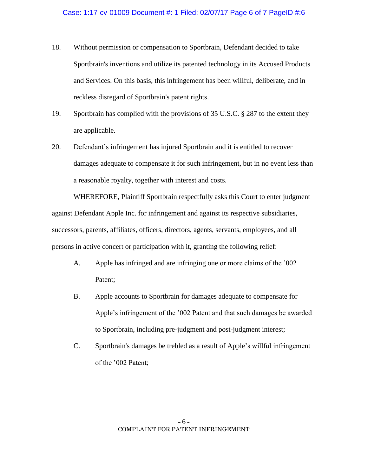- 18. Without permission or compensation to Sportbrain, Defendant decided to take Sportbrain's inventions and utilize its patented technology in its Accused Products and Services. On this basis, this infringement has been willful, deliberate, and in reckless disregard of Sportbrain's patent rights.
- 19. Sportbrain has complied with the provisions of 35 U.S.C. § 287 to the extent they are applicable.
- 20. Defendant's infringement has injured Sportbrain and it is entitled to recover damages adequate to compensate it for such infringement, but in no event less than a reasonable royalty, together with interest and costs.

WHEREFORE, Plaintiff Sportbrain respectfully asks this Court to enter judgment against Defendant Apple Inc. for infringement and against its respective subsidiaries, successors, parents, affiliates, officers, directors, agents, servants, employees, and all persons in active concert or participation with it, granting the following relief:

- A. Apple has infringed and are infringing one or more claims of the '002 Patent;
- B. Apple accounts to Sportbrain for damages adequate to compensate for Apple's infringement of the '002 Patent and that such damages be awarded to Sportbrain, including pre-judgment and post-judgment interest;
- C. Sportbrain's damages be trebled as a result of Apple's willful infringement of the '002 Patent;